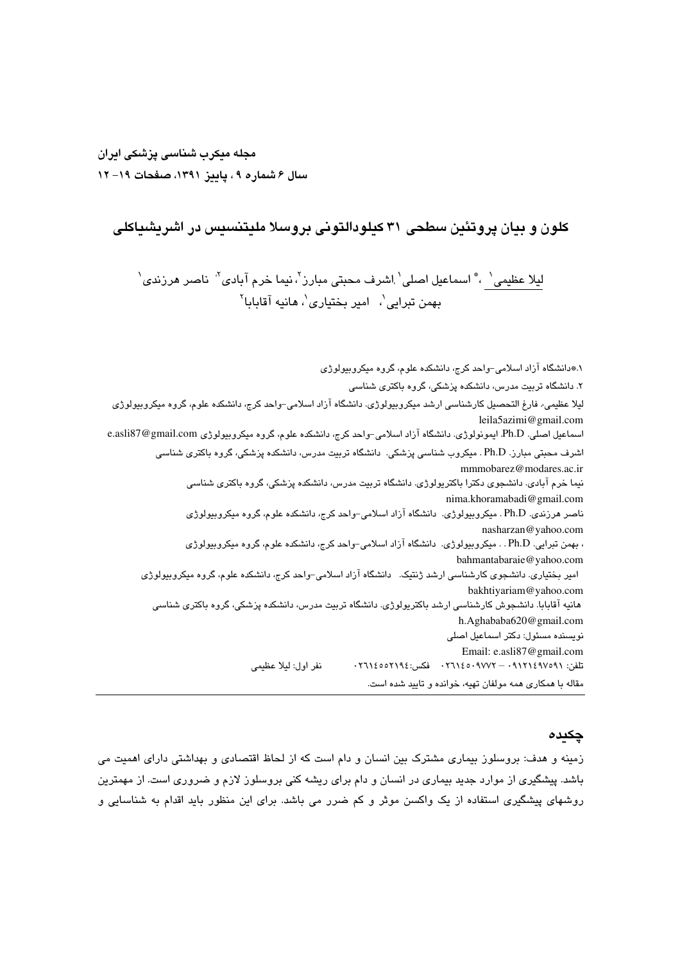## مجله میکرب شناسی پزشکی ایران سال ۶ شماره ۹ ، پاییز ۱۳۹۱، صفحات ۱۹– ۱۲

## کلون و بیان پروتئین سطحی ۳۱ کیلودالتونی بروسلا ملیتنسیس در اشریشیاکلی

ليلا عظيمى` ، ؓ اسماعيل اصلى` اشرف محبتى مبارز<sup>٬</sup>، نيما خرم آبادى<sup>٬</sup> ناصر هرزن*دى*` بهمن تبرایی`، امیر بختیاری`، هانیه آقابابا``

۱.#دانشگاه آزاد اسلامی–واحد کرج، دانشکده علوم، گروه میکروبیولوژ*ی* ۲. دانشگاه تربیت مدرس، دانشکده پزشکی، گروه باکتر*ی* شناس*ی* لیلا عظیمی- فارغ التحصیل کارشناسی ارشد میکروبیولوژی. دانشگاه آزاد اسلامی–واحد کرج، دانشکده علوم، گروه میکروبیولوژی leila5azimi@gmail.com اسماعیل اصلی. Ph.D. ایمونولوژی. دانشگاه آزاد اسلامی-واحد کرج، دانشکده علوم، گروه میکروبیولوژی e.asli87@gmail.com اشرف محبتی مبارز. Ph.D . میکروب شناسی پزشکی. دانشگاه تربیت مدرس، دانشکده پزشکی، گروه باکتری شناسی mmmobarez@modares.ac.ir نیما خرم ابادی. دانشجری دکترا باکترپولوژی. دانشگاه تربیت مدرس، دانشکده پزشکی، گروه باکتری شناسی nima.khoramabadi@gmail.com ناصر هرزندی. Ph.D . میکروبیولوژی. دانشگاه آزاد اسلامی–واحد کرج، دانشکده علوم، گروه میکروبیولوژی nasharzan@yahoo.com ، بهمن تبرایی. Ph.D . . میکروبیولوژی. دانشگاه آزاد اسلامی-واحد کرج، دانشکده علوم، گروه میکروبیولوژی bahmantabaraie@yahoo.com امیر بختیاری. دانشجوی کارشناسی ارشد ژنتیک. دانشگاه آزاد اسلامی–واحد کرج، دانشکده علوم، گروه میکروبیولوژی bakhtiyariam@yahoo.com هانیه آقابابا. دانشجوش کارشناسی ارشد باکتریولوژی. دانشگاه تربیت مدرس، دانشکده پزشکی، گروه باکتری شناسی h.Aghababa620@gmail.com نویسنده مسئول: دکتر اسماعیل اصلی Email: e.asli87@gmail.com نفر اول: ليلا عظيمى تلفن: ۰۹۱۲۱٤٥٧٥٢١٩٤ - ۰۲٦۱٤٥٠٩٧٧٢ فکس: ۲٦١٤٥٥٢١٩٤ مقاله با همکاری همه مولفان تهیه، خوانده و تایید شده است.

#### جكىدە

زمینه و هدف: بروسلوز بیماری مشترک بین انسان و دام است که از لحاظ اقتصادی و بهداشتی دارای اهمیت می باشد. پیشگیری از موارد جدید بیماری در انسان و دام برای ریشه کنی بروسلوز لازم و ضروری است. از مهمترین روشهای پیشگیری استفاده از یک واکسن موثر و کم ضرر می باشد. برای این منظور باید اقدام به شناسایی و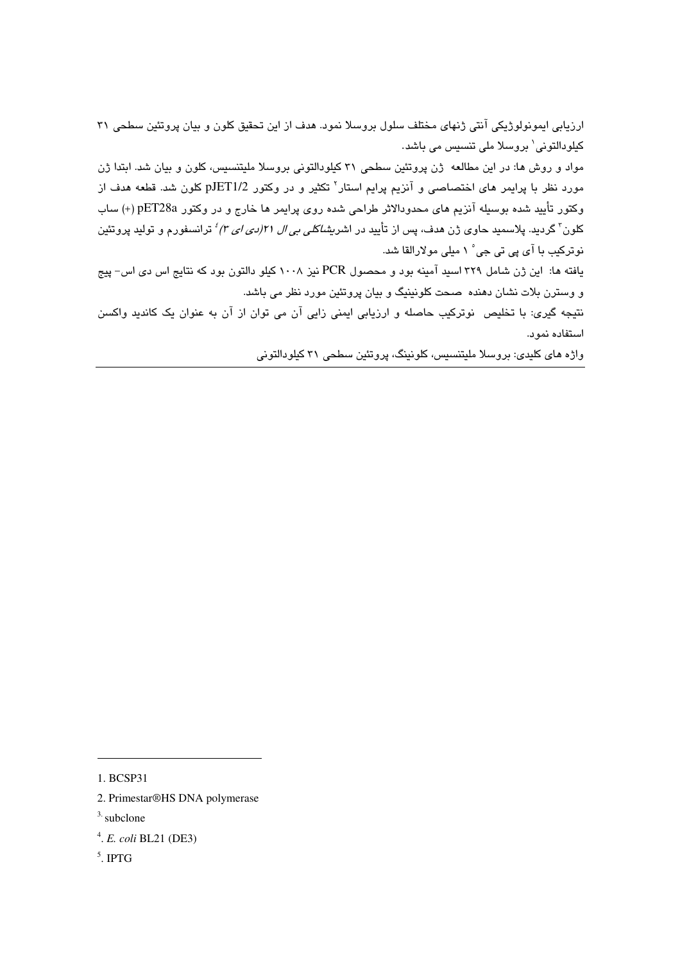ارزیابی ایمونولوژیکی آنتی ژنهای مختلف سلول بروسلا نمود. هدف از این تحقیق کلون و بیان پروتئین سطحی ۳۱ کیلودالتونی` بروسلا ملی تنسیس می باشد.

مواد و روش ها: در این مطالعه ژن پروتئین سطحی ۳۱ کیلودالتونی بروسلا ملیتنسیس، کلون و بیان شد. ابتدا ژن مورد نظر با پرایمر های اختصاصی و آنزیم پرایم استار<sup>۲</sup> تکثیر و در وکتور pJET1/2 کلون شد. قطعه هدف از وكتور تأييد شده بوسيله آنزيم هاي محدودالاثر طراحي شده روي پرايمر ها خارج و در وكتور pET28a (+) ساب کلون<sup>۲</sup> گردید. پلاسمید حاوی ژن هدف، پس از تأیید در اشر*یشاکلی بی ال ۲۱اردی ای ۳) <sup>؛</sup>* ترانسفورم و تولید پروتئین نوترکیب با آی پی تی جی ْ ۱ میلی مولارالقا شد.

بافته ها: این ژن شامل ۳۲۹ اسید آمینه بود و محصول PCR نیز ۱۰۰۸ کیلو دالتون بود که نتایج اس دی اس- پیج و وسترن بلات نشان دهنده صحت کلونینیگ و بیان پروتئین مورد نظر می باشد.

نتيجه گيري: با تخليص نوتركيب حاصله و ارزيابي ايمني زايي آن مي توان از آن به عنوان يک كانديد واكسن استفاده نمو د.

واژه های کلیدی: بروسلا ملیتنسیس، کلونینگ، پروتئین سطحی ۳۱ کیلودالتونی

<sup>1.</sup> BCSP31

<sup>2.</sup> Primestar®HS DNA polymerase

 $3.$  subclone

<sup>&</sup>lt;sup>4</sup>. E. coli BL21 (DE3)

 $5$ . IPTG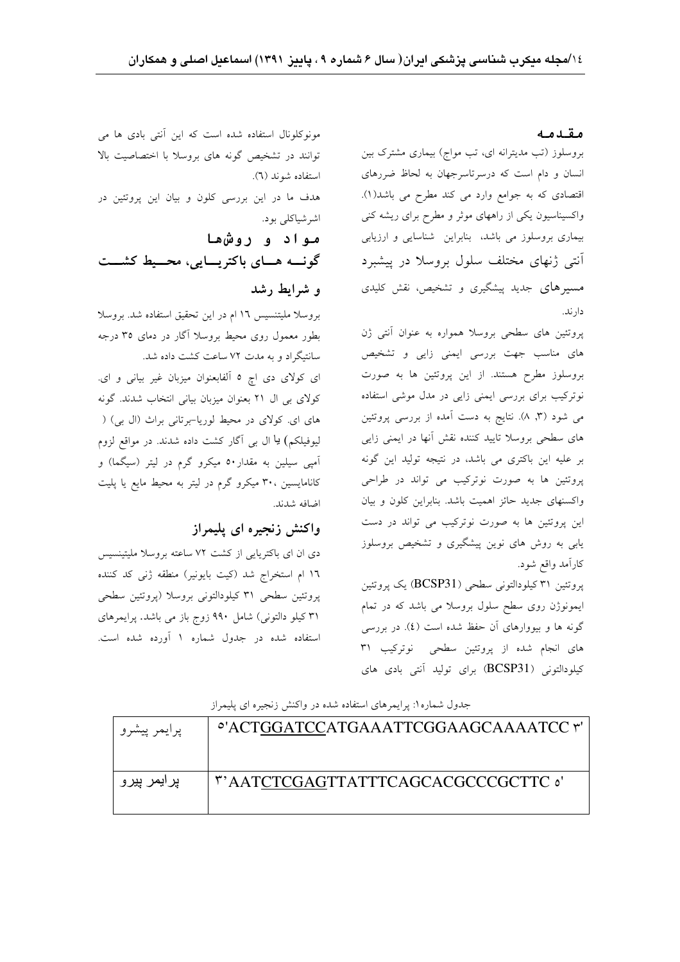### مقدمه

بروسلوز (تب مدیترانه ای، تب مواج) بیماری مشترک بین انسان و دام است که درسرتاسرجهان به لحاظ ضررهای اقتصادی که به جوامع وارد می کند مطرح می باشد(۱). واکسیناسیون یکی از راههای موثر و مطرح برای ریشه کنی بیماری بروسلوز می باشد، بنابراین شناسایی و ارزیابی آنتی ژنهای مختلف سلول بروسلا در پیشبرد مسیرهای جدید پیشگیری و تشخیص، نقش کلیدی دارند.

پروتئین های سطحی بروسلا همواره به عنوان آنتی ژن های مناسب جهت بررسی ایمنی زایی و تشخیص بروسلوز مطرح هستند. از این پروتئین ها به صورت نوترکیب برای بررسی ایمنی زایی در مدل موشی استفاده می شود (۳, ۸). نتایج به دست آمده از بررسی پروتئین های سطحی بروسلا تایید کننده نقش آنها در ایمنی زایی بر عليه اين باكترى مى باشد، در نتيجه توليد اين گونه پروتئین ها به صورت نوترکیب می تواند در طراحی واکسنهای جدید حائز اهمیت باشد. بنابراین کلون و بیان این پروتئین ها به صورت نوترکیب می تواند در دست یابی به روش های نوین پیشگیری و تشخیص بروسلوز كارآمد واقع شود.

پروتئین ۳۱ کیلودالتونی سطحی (BCSP31) یک پروتئین ایمونوژن روی سطح سلول بروسلا می باشد که در تمام گونه ها و بیووارهای آن حفظ شده است (٤). در بررسی های انجام شده از پروتئین سطحی نوترکیب ۳۱ كيلودالتوني (BCSP31) براي توليد آنتي بادي هاي

مونوکلونال استفاده شده است که این آنتی بادی ها می توانند در تشخیص گونه های بروسلا با اختصاصیت بالا استفاده شوند (٦). هدف ما در این بررسی کلون و بیان این پروتئین در اشرشياكلي بود. مواد و روشها گونسه هسای باکتریسایی، محسیط کشست

بروسلا مليتنسيس ١٦ ام در اين تحقيق استفاده شد. بروسلا بطور معمول روی محیط بروسلا آگار در دمای ۳۵ درجه سانتیگراد و به مدت ۷۲ ساعت کشت داده شد.

ای کولای دی اچ ٥ آلفابعنوان میزبان غیر بیانی و ای. کولای بی ال ۲۱ بعنوان میزبان بیانی انتخاب شدند. گونه های ای. کولای در محیط لوریا-برتانی براث (ال بی) ( لیوفیلکم) یا ال بی آگار کشت داده شدند. در مواقع لزوم آمپی سیلین به مقدار ۵۰ میکرو گرم در لیتر (سیگما) و کانامایسین ،۳۰ میکرو گرم در لیتر به محیط مایع یا پلیت اضافه شدند.

## واکنش زنجیره ای پلیمراز

و شرایط رشد

دی ان ای باکتریایی از کشت ۷۲ ساعته بروسلا ملیتینسیس ١٦ ام استخراج شد (كيت بايونير) منطقه ژنى كد كننده پروتئین سطحی ۳۱ کیلودالتونی بروسلا (پروتئین سطحی ۳۱ کیلو دالتونی) شامل ۹۹۰ زوج باز می باشد. پرایمرهای استفاده شده در جدول شماره ۱ آورده شده است.

جدول شماره ۱: پرایمرهای استفاده شده در واکنش زنجیره ای پلیمراز  $\frac{1}{2}$ 

| پرايمر پيشرو  | - ACTUUATCCATUAAATTCUUAAUCAAAATCC r             |
|---------------|-------------------------------------------------|
| پر ایمر پیر و | <sup>7</sup> 'AATCTCGAGTTATTTCAGCACGCCCGCTTC o' |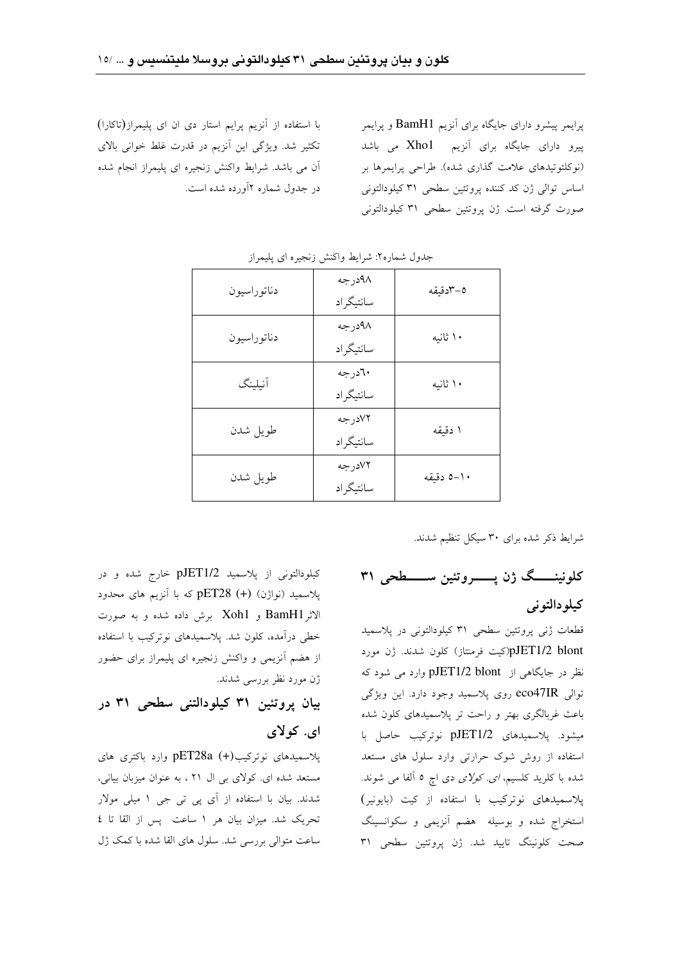پرایمر پیشرو دارای جایگاه برای آنزیم BamH1 و پرایمر پیرو دارای جایگاه برای آنزیم Xhol می باشد (نوكلئوتيدهاي علامت گذاري شده). طراحي پرايمرها بر اساس توالی ژن کد کننده پروتئین سطحی ۳۱ کیلودالتونی صورت گرفته است. ژن پروتئین سطحی ۳۱ کیلودالتونی

با استفاده از آنزیم پرایم استار دی ان ای پلیمراز(تاکارا) تکثیر شد. ویژگی این آنزیم در قدرت غلط خوانی بالای آن می باشد. شرایط واکنش زنجیره ای پلیمراز انجام شده در جدول شماره ۲آورده شده است.

| دناتوراسيون | ۹۸درجه<br>سانتيگراد  | ٥–٣دقيقه   |
|-------------|----------------------|------------|
| دناتوراسيون | ۹۸درجه<br>سانتيگراد  | ۱۰ ثانیه   |
| آنيلينگ     | ۲۰درجه<br>سانتيگر اد | ۱۰ ثانیه   |
| طويل شدن    | ٧٢درجه<br>سانتيگر اد | ا دقیقه    |
| طويل شدن    | ۷۲درجه<br>سانتيگر اد | ١٠–٥ دقيقه |

جدول شماره٢: شرايط واكنش زنجيره اي پليمراز

شرایط ذکر شده برای ۳۰ سیکل تنظیم شدند.

کلونینــــگ ژن پـــــــروتئین ســــــطحی ۳۱ کیلو دالتونی

قطعات ژنبي پروتئين سطحي ٣١ كيلودالتوني در پلاسميد pJET1/2 blont(کیت فرمنتاز) کلون شدند. ژن مورد نظر در جایگاهی از pJET1/2 blont وارد می شود که توالی eco47IR روی پلاسمید وجود دارد. این ویژگی باعث غربالگری بهتر و راحت تر پلاسمیدهای کلون شده میشود. یلاسمیدهای pJET1/2 نوترکیب حاصل با استفاده از روش شوک حرارتی وارد سلول های مستعد شده با کلرید کلسیم، *ای کولای دی* اچ ٥ آلفا می شوند. یلاسمیدهای نوترکیب با استفاده از کیت (بایونیر) استخراج شده و بوسیله هضم آنزیمی و سکوانسینگ صحت كلونينگ تاييد شد. ژن پروتئين سطحي ٣١

کیلودالتونی از پلاسمید pJET1/2 خارج شده و در پلاسمید (نواژن) (+) pET28 که با آنزیم های محدود الاثر BamH1 و Xoh1 برش داده شده و به صورت خطی درآمده، کلون شد. پلاسمیدهای نوترکیب با استفاده از هضم آنزیمی و واکنش زنجیره ای پلیمراز برای حضور ژن مورد نظر بررسی شدند.

بيان يروتئين ٣١ كيلودالتني سطحي ٣١ در ای. کولای

پلاسمیدهای نوترکیب(+) pET28a وارد باکتری های مستعد شده ای. کولای بی ال ۲۱ ، به عنوان میزبان بیانی، شدند. بیان با استفاده از آی پی تی جی ۱ میلی مولار تحريک شد. ميزان بيان هر ١ ساعت پس از القا تا ٤ ساعت متوالی بررسی شد. سلول های القا شده با کمک ژل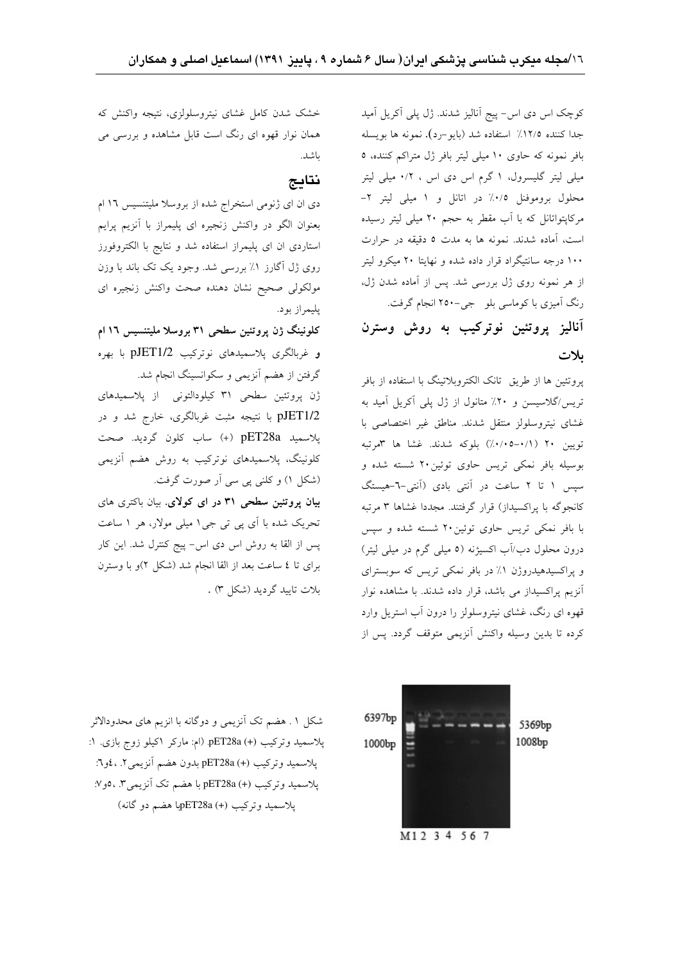کوچک اس دی اس- پیج آنالیز شدند. ژل پلی آکریل آمید جدا كننده ١٢/٥٪ استفاده شد (بايو-رد). نمونه ها بويسله بافر نمونه که حاوی ۱۰ میلی لیتر بافر ژل متراکم کننده، ٥ میلی لیتر گلیسرول، ۱ گرم اس دی اس ، ۰/۲ میلی لیتر محلول بروموفنل ٠/٥٪ در اتانل و ١ ميلي ليتر ٢-مرکاپتواتانل که با آب مقطر به حجم ۲۰ میلی لیتر رسیده است، آماده شدند. نمونه ها به مدت ٥ دقیقه در حرارت ۱۰۰ درجه سانتیگراد قرار داده شده و نهایتا ۲۰ میکرو لیتر از هر نمونه روی ژل بررسی شد. پس از آماده شدن ژل، رنگ آمیزی با کوماسی بلو جی-۲۵۰ انجام گرفت.

# آناليز پروتئين نوتركيب به روش وسترن ىلات

پروتئین ها از طریق تانک الکتروبلاتینگ با استفاده از بافر تریس/گلاسیسن و ۲۰٪ متانول از ژل پلی آکریل آمید به غشاي نيتروسلولز منتقل شدند. مناطق غير اختصاصي با تويين ٢٠ (٠/١-٥-٠٧)) بلوكه شدند. غشا ها ٣مرتبه بوسیله بافر نمکی تریس حاوی توئین۲۰ شسته شده و سپس ۱ تا ۲ ساعت در آنتی بادی (آنتی-٦-هیستگ کانجوگه با پراکسیداز) قرار گرفتند. مجددا غشاها ۳ مرتبه با بافر نمکی تریس حاوی توئین۲۰ شسته شده و سپس درون محلول دب/آب اکسیژنه (٥ میلی گرم در میلی لیتر) و پراکسیدهیدروژن ۱٪ در بافر نمکی تریس که سوبسترای آنزیم پراکسیداز می باشد، قرار داده شدند. با مشاهده نوار قهوه ای رنگ، غشای نیتروسلولز را درون آب استریل وارد كرده تا بدين وسيله واكنش آنزيمي متوقف گردد. پس از

خشک شدن کامل غشای نیتروسلولزی، نتیجه واکنش که همان نوار قهوه ای رنگ است قابل مشاهده و بررسی می باشد.

## نتايج

دی ان ای ژنومی استخراج شده از بروسلا ملیتنسیس ۱۶ ام بعنوان الگو در واکنش زنجیره ای پلیمراز با آنزیم پرایم استاردی ان ای پلیمراز استفاده شد و نتایج با الکتروفورز روی ژل آگارز ۱٪ بررسی شد. وجود یک تک باند با وزن مولکولی صحیح نشان دهنده صحت واکنش زنجیره ای يليمراز بود.

کلونینگ ژن پروتئین سطحی ۳۱ بروسلا ملیتنسیس ۱۶ ام و غربالگرى پلاسميدهاى نوتركيب pJET1/2 با بهره گرفتن از هضم آنزیمی و سکوانسینگ انجام شد. ژن پروتئین سطحی ۳۱ کیلودالتونی از پلاسمیدهای pJET1/2 با نتیجه مثبت غربالگری، خارج شد و در پلاسميد pET28a (+) ساب كلون گرديد. صحت کلونینگ، پلاسمیدهای نوترکیب به روش هضم آنزیمی

(شکل ۱) و کلنی پی سی آر صورت گرفت. بیان پروتئین سطحی ۳۱ در ای کولای. بیان باکتری های تحریک شده با آی پی تی جی ۱ میلی مولار، هر ۱ ساعت پس از القا به روش اس دی اس- پیج کنترل شد. این کار برای تا ٤ ساعت بعد از القا انجام شد (شکل ٢)و با وسترن بلات تایید گردید (شکل ۳) .

شکل ۱ . هضم تک آنزیمی و دوگانه با انزیم های محدودالاثر پلاسمید وترکیب pET28a (+).pET28a (ام: مارکر اکیلو زوج بازی. ۱: يلاسميد وتركيب (+) pET28a بدون هضم أنزيمي ٢. ، ٤و٦: پلاسميد وتركيب (+) pET28a با هضم تك آنزيمي٣. ،٥و٧: پلاسميد وتركيب (+) pET28aپا هضم دو گانه)

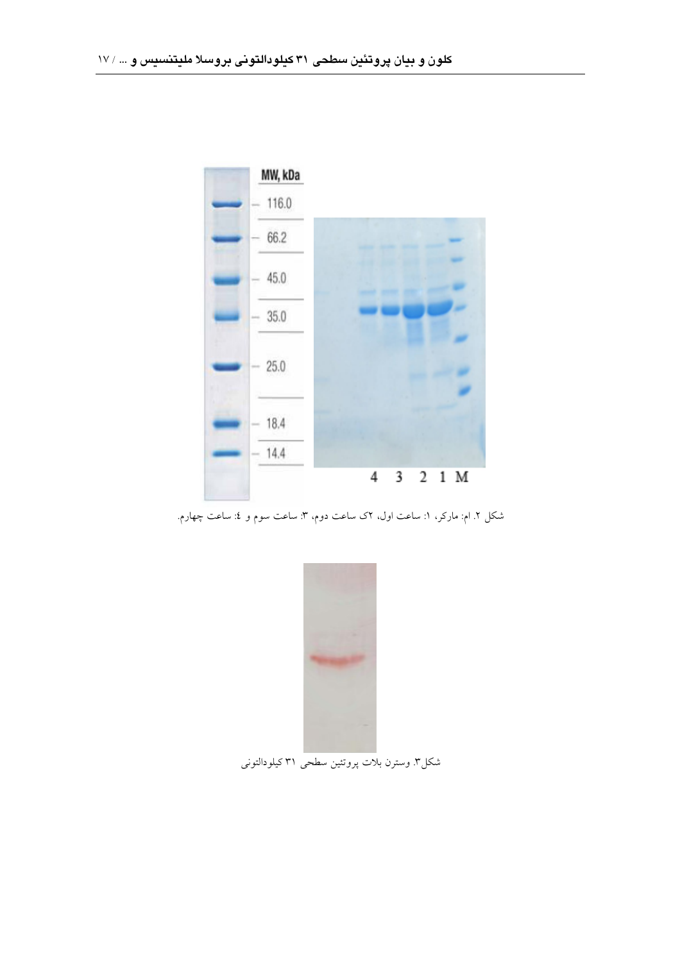

شکل ۲. ام: مارکر، ۱: ساعت اول، ۲ک ساعت دوم، ۳: ساعت سوم و ٤: ساعت چهارم.



شکل۳ وسترن بلات پروتئین سطحی ۳۱ کیلودالتونی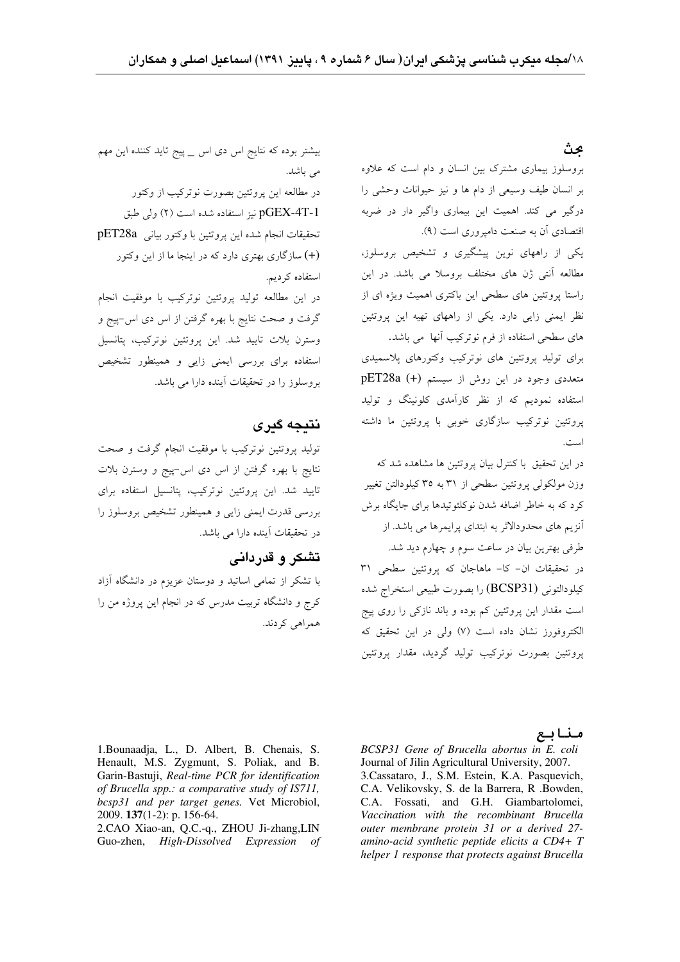### عث

بیشتر بوده که نتایج اس دی اس \_ پیج تاید کننده این مهم می باشد. در مطالعه این یروتئین بصورت نوترکیب از وکتور pGEX-4T-1 نيز استفاده شده است (٢) ولي طبق تحقيقات انجام شده اين يروتئين با وكتور بياني pET28a (+) سازگاری بهتری دارد که در اینجا ما از این وکتور استفاده کر دیم. در این مطالعه تولید پروتئین نوترکیب با موفقیت انجام گرفت و صحت نتایج با بهره گرفتن از اس دی اس-پیج و وسترن بلات تاييد شد. اين پروتئين نوتركيب، پتانسيل

استفاده برای بررسی ایمنی زایی و همینطور تشخیص بروسلوز را در تحقیقات آینده دارا می باشد.

## نتىجە گىرى

تولید پروتئین نوترکیب با موفقیت انجام گرفت و صحت نتايج با بهره گرفتن از اس دى اس-پيج و وسترن بلات تایید شد. این پروتئین نوترکیب، پتانسیل استفاده برای بررسی قدرت ایمنی زایی و همینطور تشخیص بروسلوز را در تحقیقات آینده دارا می باشد.

### تشکر و قدردانی

با تشکر از تمامی اساتید و دوستان عزیزم در دانشگاه آزاد کرج و دانشگاه تربیت مدرس که در انجام این پروژه من را همراهي كردند.

بروسلوز بیماری مشترک بین انسان و دام است که علاوه بر انسان طیف وسیعی از دام ها و نیز حیوانات وحشی را درگیر می کند. اهمیت این بیماری واگیر دار در ضربه اقتصادی آن به صنعت دامیروری است (۹).

یکی از راههای نوین پیشگیری و تشخیص بروسلوز، مطالعه آنتی ژن های مختلف بروسلا می باشد. در این راستا بروتئین های سطحی این باکتری اهمیت ویژه ای از نظر ایمنی زایی دارد. یکی از راههای تهیه این پروتئین های سطحی استفاده از فرم نوترکیب آنها می باشد.

برای تولید پروتئین های نوترکیب وکتورهای پلاسمیدی متعددی وجود در این روش از سیستم (+) pET28a استفاده نمودیم که از نظر کارآمدی کلونینگ و تولید پروتئین نوترکیب سازگاری خوبی با پروتئین ما داشته است.

در این تحقیق با کنترل بیان یروتئین ها مشاهده شد که وزن مولکولی پروتئین سطحی از ۳۱ به ۳۵ کیلودالتن تغییر کرد که به خاطر اضافه شدن نوکلئوتیدها برای جایگاه برش آنزیم های محدودالاثر به ابتدای پرایمرها می باشد. از طرفي بهترين بيان در ساعت سوم و چهارم ديد شد. در تحقیقات ان- کا- ماهاجان که پروتئین سطحی ۳۱ كيلودالتوني (BCSP31) را بصورت طبيعي استخراج شده است مقدار این پروتئین کم بوده و باند نازکی را روی پیج الكتروفورز نشان داده است (۷) ولي در اين تحقيق كه یروتئین بصورت نوترکیب تولید گردید، مقدار پروتئین

1. Bounaadja, L., D. Albert, B. Chenais, S. Henault, M.S. Zygmunt, S. Poliak, and B. Garin-Bastuji, Real-time PCR for identification of Brucella spp.: a comparative study of IS711, bcsp31 and per target genes. Vet Microbiol, 2009. 137(1-2): p. 156-64.

2.CAO Xiao-an, Q.C.-q., ZHOU Ji-zhang,LIN Guo-zhen, High-Dissolved Expression of منابع

BCSP31 Gene of Brucella abortus in E. coli Journal of Jilin Agricultural University, 2007. 3. Cassataro, J., S.M. Estein, K.A. Pasquevich, C.A. Velikovsky, S. de la Barrera, R. Bowden, C.A. Fossati, and G.H. Giambartolomei, Vaccination with the recombinant Brucella outer membrane protein 31 or a derived 27amino-acid synthetic peptide elicits a CD4+ T helper 1 response that protects against Brucella